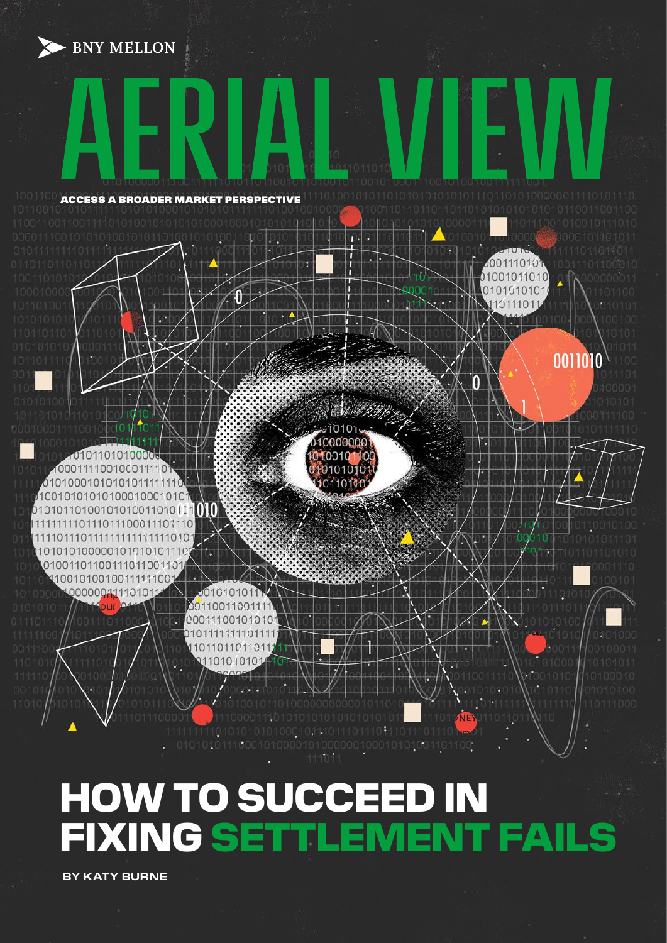**BNY MELLON** 



# HOW TO SUCCEED IN<br>FIXING SETTLEMENT FAIL FIXING SETTLEMENT FAILS

 **BY KATY BURNE**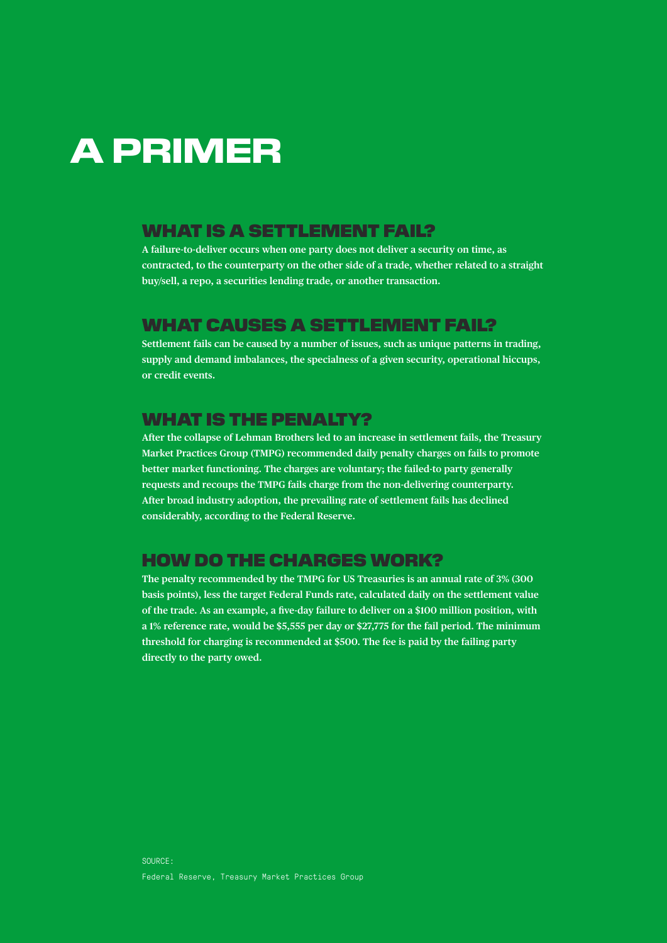# A PRIMER

### WHAT IS A SETTLEMENT FAIL?

**A failure-to-deliver occurs when one party does not deliver a security on time, as contracted, to the counterparty on the other side of a trade, whether related to a straight buy/sell, a repo, a securities lending trade, or another transaction.**

### WHAT CAUSES A SETTLEMENT FAIL?

**Settlement fails can be caused by a number of issues, such as unique patterns in trading, supply and demand imbalances, the specialness of a given security, operational hiccups, or credit events.** 

## WHAT IS THE PENALTY?

**After the collapse of Lehman Brothers led to an increase in settlement fails, the Treasury Market Practices Group (TMPG) recommended daily penalty charges on fails to promote better market functioning. The charges are voluntary; the failed-to party generally requests and recoups the TMPG fails charge from the non-delivering counterparty. After broad industry adoption, the prevailing rate of settlement fails has declined considerably, according to the Federal Reserve.**

## HOW DO THE CHARGES WORK?

**The penalty recommended by the TMPG for US Treasuries is an annual rate of 3% (300 basis points), less the target Federal Funds rate, calculated daily on the settlement value of the trade. As an example, a five-day failure to deliver on a \$100 million position, with a 1% reference rate, would be \$5,555 per day or \$27,775 for the fail period. The minimum threshold for charging is recommended at \$500. The fee is paid by the failing party directly to the party owed.**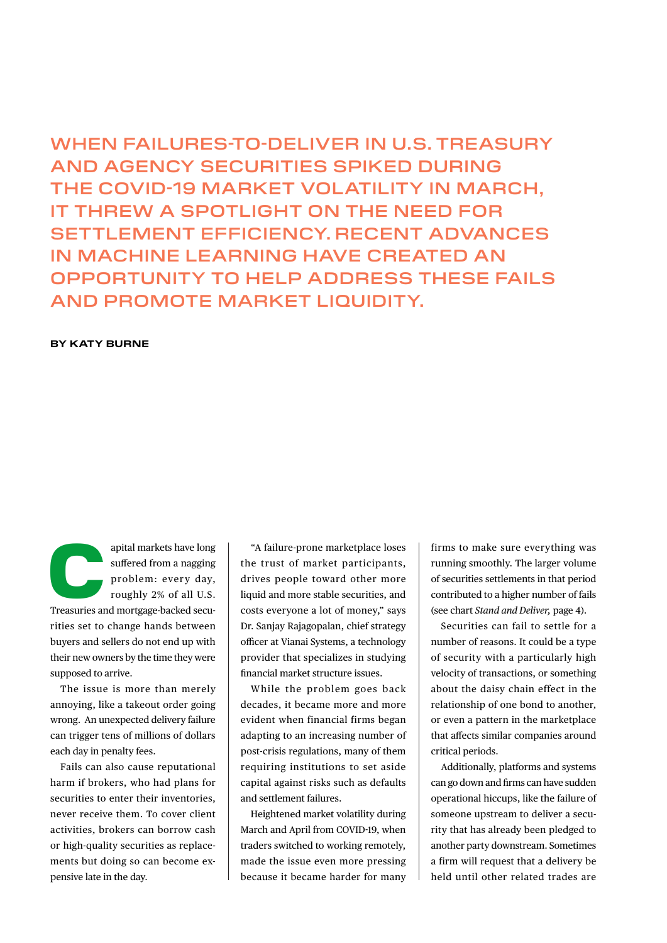# WHEN FAILURES-TO-DELIVER IN U.S. TREASURY AND AGENCY SECURITIES SPIKED DURING THE COVID-19 MARKET VOLATILITY IN MARCH, IT THREW A SPOTLIGHT ON THE NEED FOR SETTLEMENT EFFICIENCY. RECENT ADVANCES IN MACHINE LEARNING HAVE CREATED AN OPPORTUNITY TO HELP ADDRESS THESE FAILS AND PROMOTE MARKET LIQUIDITY.

#### **BY KATY BURNE**

apital markets have long<br>suffered from a nagging<br>problem: every day,<br>roughly 2% of all U.S.<br>Treasuries and mortgage-backed secusuffered from a nagging problem: every day, roughly 2% of all U.S.

rities set to change hands between buyers and sellers do not end up with their new owners by the time they were supposed to arrive.

The issue is more than merely annoying, like a takeout order going wrong. An unexpected delivery failure can trigger tens of millions of dollars each day in penalty fees.

Fails can also cause reputational harm if brokers, who had plans for securities to enter their inventories, never receive them. To cover client activities, brokers can borrow cash or high-quality securities as replacements but doing so can become expensive late in the day.

"A failure-prone marketplace loses the trust of market participants, drives people toward other more liquid and more stable securities, and costs everyone a lot of money," says Dr. Sanjay Rajagopalan, chief strategy officer at Vianai Systems, a technology provider that specializes in studying financial market structure issues.

While the problem goes back decades, it became more and more evident when financial firms began adapting to an increasing number of post-crisis regulations, many of them requiring institutions to set aside capital against risks such as defaults and settlement failures.

Heightened market volatility during March and April from COVID-19, when traders switched to working remotely, made the issue even more pressing because it became harder for many firms to make sure everything was running smoothly. The larger volume of securities settlements in that period contributed to a higher number of fails (see chart *Stand and Deliver,* page 4).

Securities can fail to settle for a number of reasons. It could be a type of security with a particularly high velocity of transactions, or something about the daisy chain effect in the relationship of one bond to another, or even a pattern in the marketplace that affects similar companies around critical periods.

Additionally, platforms and systems can go down and firms can have sudden operational hiccups, like the failure of someone upstream to deliver a security that has already been pledged to another party downstream. Sometimes a firm will request that a delivery be held until other related trades are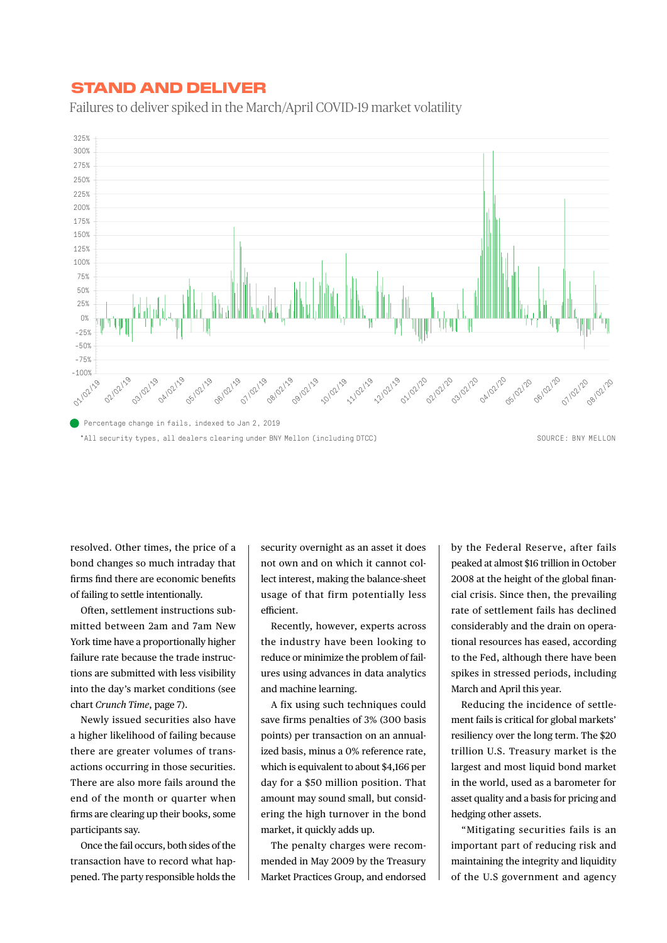## STAND AND DELIVER STAND AND DELIVER

Failures to deliver spiked in the March/April COVID-19 market volatility Failures to deliver spiked in the March/April COVID-19 market volatility



resolved. Other times, the price of a bond changes so much intraday that firms find there are economic benefits of failing to settle intentionally.

Often, settlement instructions submitted between 2am and 7am New York time have a proportionally higher failure rate because the trade instructions are submitted with less visibility into the day's market conditions (see chart *Crunch Time*, page 7).

Newly issued securities also have a higher likelihood of failing because there are greater volumes of transactions occurring in those securities. There are also more fails around the end of the month or quarter when firms are clearing up their books, some participants say.

Once the fail occurs, both sides of the transaction have to record what happened. The party responsible holds the

security overnight as an asset it does not own and on which it cannot collect interest, making the balance-sheet usage of that firm potentially less efficient.

Recently, however, experts across the industry have been looking to reduce or minimize the problem of failures using advances in data analytics and machine learning.

A fix using such techniques could save firms penalties of 3% (300 basis points) per transaction on an annualized basis, minus a 0% reference rate, which is equivalent to about \$4,166 per day for a \$50 million position. That amount may sound small, but considering the high turnover in the bond market, it quickly adds up.

The penalty charges were recommended in May 2009 by the Treasury Market Practices Group, and endorsed by the Federal Reserve, after fails peaked at almost \$16 trillion in October 2008 at the height of the global financial crisis. Since then, the prevailing rate of settlement fails has declined considerably and the drain on operational resources has eased, according to the Fed, although there have been spikes in stressed periods, including March and April this year.

Reducing the incidence of settlement fails is critical for global markets' resiliency over the long term. The \$20 trillion U.S. Treasury market is the largest and most liquid bond market in the world, used as a barometer for asset quality and a basis for pricing and hedging other assets.

"Mitigating securities fails is an important part of reducing risk and maintaining the integrity and liquidity of the U.S government and agency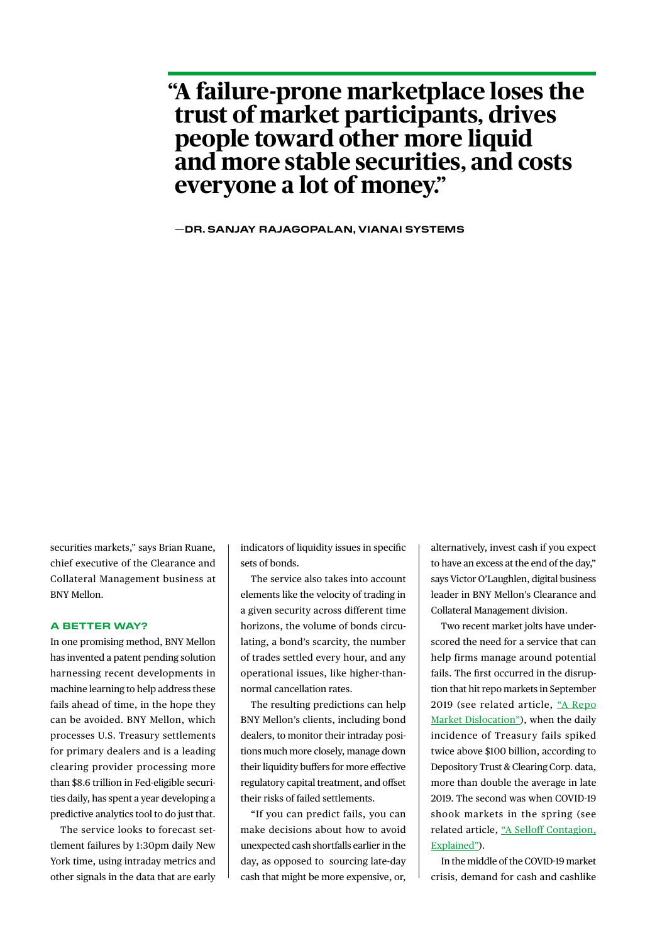# **"A failure-prone marketplace loses the trust of market participants, drives people toward other more liquid and more stable securities, and costs everyone a lot of money."**

**—DR. SANJAY RAJAGOPALAN, VIANAI SYSTEMS** 

securities markets," says Brian Ruane, chief executive of the Clearance and Collateral Management business at BNY Mellon.

#### **A BETTER WAY?**

In one promising method, BNY Mellon has invented a patent pending solution harnessing recent developments in machine learning to help address these fails ahead of time, in the hope they can be avoided. BNY Mellon, which processes U.S. Treasury settlements for primary dealers and is a leading clearing provider processing more than \$8.6 trillion in Fed-eligible securities daily, has spent a year developing a predictive analytics tool to do just that.

The service looks to forecast settlement failures by 1:30pm daily New York time, using intraday metrics and other signals in the data that are early

indicators of liquidity issues in specific sets of bonds.

The service also takes into account elements like the velocity of trading in a given security across different time horizons, the volume of bonds circulating, a bond's scarcity, the number of trades settled every hour, and any operational issues, like higher-thannormal cancellation rates.

The resulting predictions can help BNY Mellon's clients, including bond dealers, to monitor their intraday positions much more closely, manage down their liquidity buffers for more effective regulatory capital treatment, and offset their risks of failed settlements.

"If you can predict fails, you can make decisions about how to avoid unexpected cash shortfalls earlier in the day, as opposed to sourcing late-day cash that might be more expensive, or,

alternatively, invest cash if you expect to have an excess at the end of the day," says Victor O'Laughlen, digital business leader in BNY Mellon's Clearance and Collateral Management division.

Two recent market jolts have underscored the need for a service that can help firms manage around potential fails. The first occurred in the disruption that hit repo markets in September 2019 (see related article, ["A Repo](https://www.bnymellon.com/us/en/insights/aerial-view-magazine/deciphering-a-repo-dislocation.html) [Market Dislocation"\)](https://www.bnymellon.com/us/en/insights/aerial-view-magazine/deciphering-a-repo-dislocation.html), when the daily incidence of Treasury fails spiked twice above \$100 billion, according to Depository Trust & Clearing Corp. data, more than double the average in late 2019. The second was when COVID-19 shook markets in the spring (see related article, ["A Selloff Contagion,](https://www.bnymellon.com/us/en/insights/aerial-view-magazine/sell-off-contagion-explained.html) [Explained"\)](https://www.bnymellon.com/us/en/insights/aerial-view-magazine/sell-off-contagion-explained.html).

In the middle of the COVID-19 market crisis, demand for cash and cashlike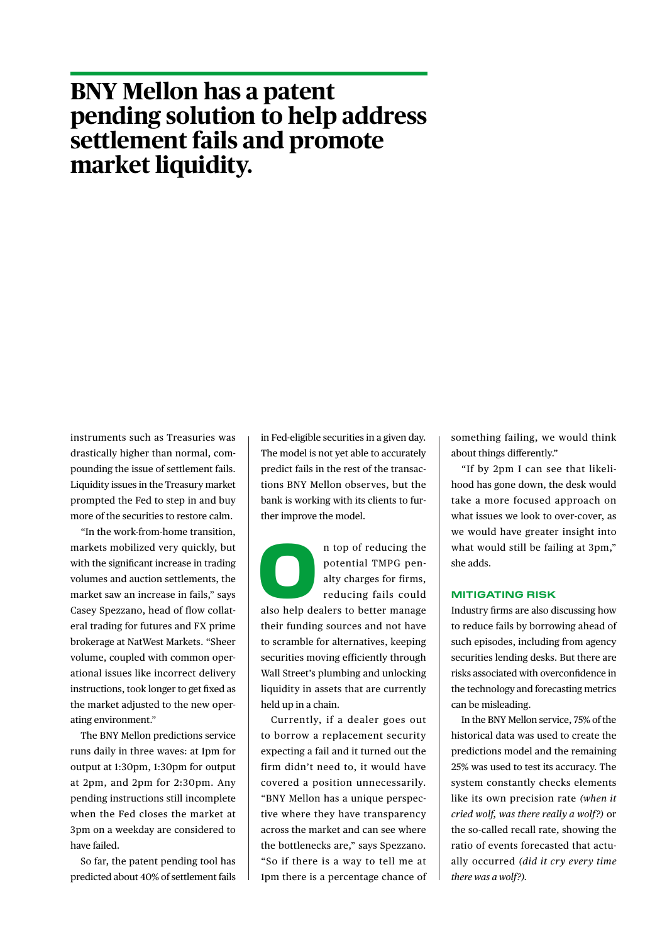# **BNY Mellon has a patent pending solution to help address settlement fails and promote market liquidity.**

instruments such as Treasuries was drastically higher than normal, compounding the issue of settlement fails. Liquidity issues in the Treasury market prompted the Fed to step in and buy more of the securities to restore calm.

"In the work-from-home transition, markets mobilized very quickly, but with the significant increase in trading volumes and auction settlements, the market saw an increase in fails," says Casey Spezzano, head of flow collateral trading for futures and FX prime brokerage at NatWest Markets. "Sheer volume, coupled with common operational issues like incorrect delivery instructions, took longer to get fixed as the market adjusted to the new operating environment."

The BNY Mellon predictions service runs daily in three waves: at 1pm for output at 1:30pm, 1:30pm for output at 2pm, and 2pm for 2:30pm. Any pending instructions still incomplete when the Fed closes the market at 3pm on a weekday are considered to have failed.

So far, the patent pending tool has predicted about 40% of settlement fails in Fed-eligible securities in a given day. The model is not yet able to accurately predict fails in the rest of the transactions BNY Mellon observes, but the bank is working with its clients to further improve the model.

n top of reducing the potential TMPG penalty charges for firms,<br>reducing fails could also help dealers to better manage potential TMPG penalty charges for firms, reducing fails could

their funding sources and not have to scramble for alternatives, keeping securities moving efficiently through Wall Street's plumbing and unlocking liquidity in assets that are currently held up in a chain.

Currently, if a dealer goes out to borrow a replacement security expecting a fail and it turned out the firm didn't need to, it would have covered a position unnecessarily. "BNY Mellon has a unique perspective where they have transparency across the market and can see where the bottlenecks are," says Spezzano. "So if there is a way to tell me at 1pm there is a percentage chance of something failing, we would think about things differently."

"If by 2pm I can see that likelihood has gone down, the desk would take a more focused approach on what issues we look to over-cover, as we would have greater insight into what would still be failing at 3pm," she adds.

#### **MITIGATING RISK**

Industry firms are also discussing how to reduce fails by borrowing ahead of such episodes, including from agency securities lending desks. But there are risks associated with overconfidence in the technology and forecasting metrics can be misleading.

In the BNY Mellon service, 75% of the historical data was used to create the predictions model and the remaining 25% was used to test its accuracy. The system constantly checks elements like its own precision rate *(when it cried wolf, was there really a wolf?)* or the so-called recall rate, showing the ratio of events forecasted that actually occurred *(did it cry every time there was a wolf?).*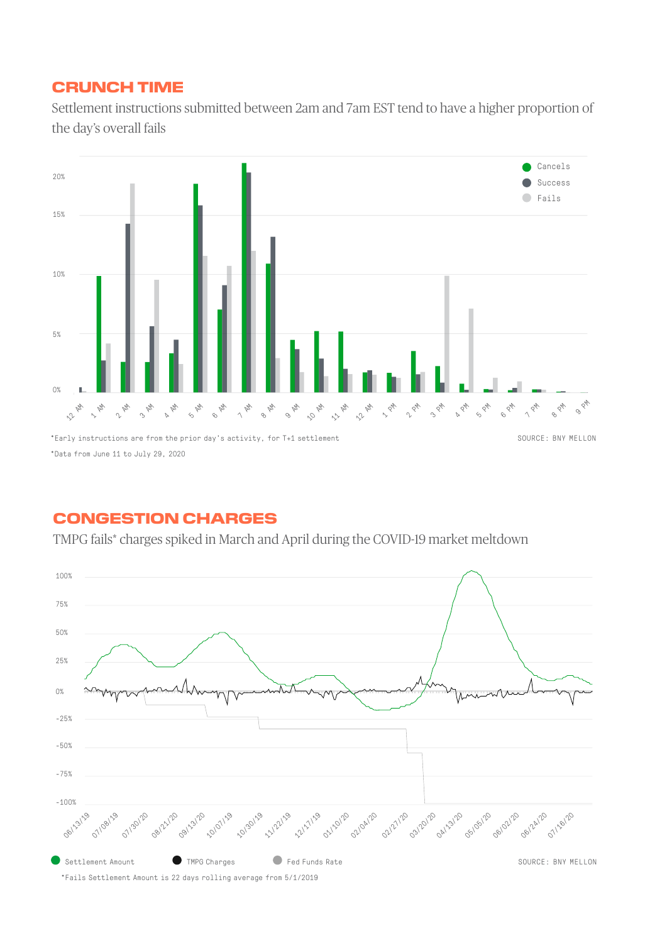# CRUNCH TIME CRUNCH TIME

Settlement instructions submitted between 2am and 7am EST tend to have a higher proportion of Settlement instructions submitted between 2am and 7am EST tend to have a higher proportion of the day's overall fails the day's overall fails



# CONGESTION CHARGES CONGESTION CHARGES

TMPG fails\* charges spiked in March and April during the COVID-19 market meltdown TMPG fails\* charges spiked in March and April during the COVID-19 market meltdown

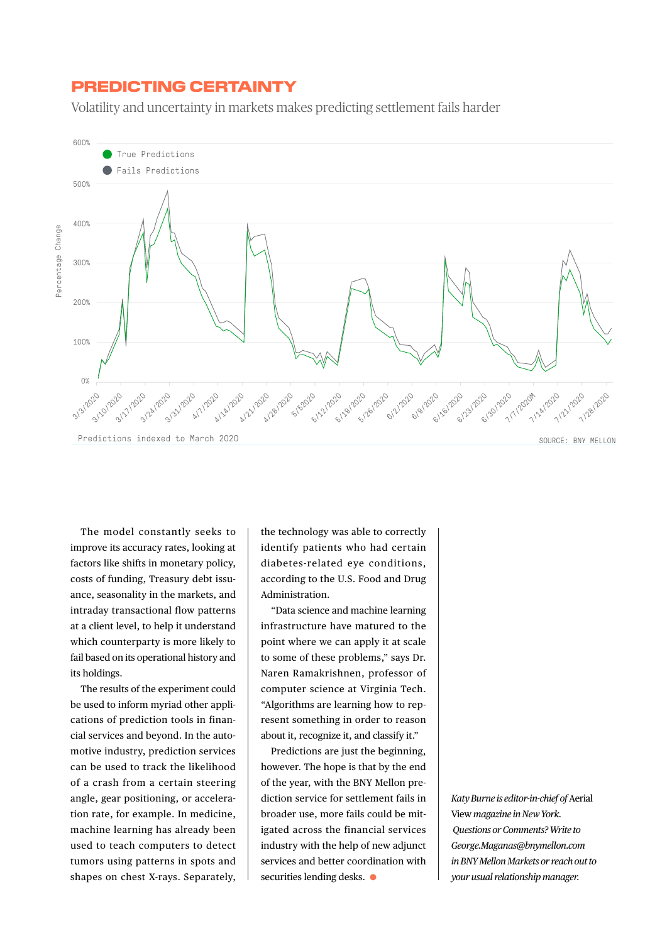### PREDICTING CERTAINTY

Volatility and uncertainty in markets makes predicting settlement fails harder



The model constantly seeks to improve its accuracy rates, looking at factors like shifts in monetary policy, costs of funding, Treasury debt issuance, seasonality in the markets, and intraday transactional flow patterns at a client level, to help it understand which counterparty is more likely to fail based on its operational history and its holdings.

The results of the experiment could be used to inform myriad other applications of prediction tools in financial services and beyond. In the automotive industry, prediction services can be used to track the likelihood of a crash from a certain steering angle, gear positioning, or acceleration rate, for example. In medicine, machine learning has already been used to teach computers to detect tumors using patterns in spots and shapes on chest X-rays. Separately, the technology was able to correctly identify patients who had certain diabetes-related eye conditions, according to the U.S. Food and Drug Administration.

"Data science and machine learning infrastructure have matured to the point where we can apply it at scale to some of these problems," says Dr. Naren Ramakrishnen, professor of computer science at Virginia Tech. "Algorithms are learning how to represent something in order to reason about it, recognize it, and classify it."

Predictions are just the beginning, however. The hope is that by the end of the year, with the BNY Mellon prediction service for settlement fails in broader use, more fails could be mitigated across the financial services industry with the help of new adjunct services and better coordination with securities lending desks.  $\bullet$ 

*Katy Burne is editor-in-chief of* Aerial View *magazine in New York. Questions or Comments? Write to George.Maganas@bnymellon.com in BNY Mellon Markets or reach out to your usual relationship manager.*